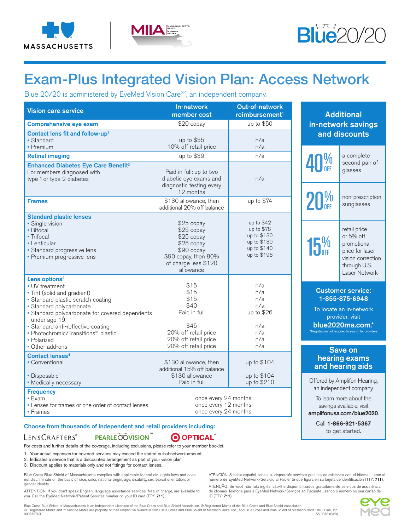





Call 1-866-921-5367 to get started.

# Exam-Plus Integrated Vision Plan: Access Network

Blue 20/20 is administered by EyeMed Vision Care®´, an independent company.

| <b>Vision care service</b>                                                                                                                                                                                                                                                                                              | In-network<br>member cost                                                                                                       | Out-of-network<br>reimbursement <sup>1</sup>                                          | <b>Additional</b>                                                                                                                                                   |
|-------------------------------------------------------------------------------------------------------------------------------------------------------------------------------------------------------------------------------------------------------------------------------------------------------------------------|---------------------------------------------------------------------------------------------------------------------------------|---------------------------------------------------------------------------------------|---------------------------------------------------------------------------------------------------------------------------------------------------------------------|
| <b>Comprehensive eye exam</b>                                                                                                                                                                                                                                                                                           | \$20 copay                                                                                                                      | up to \$50                                                                            | in-network savings                                                                                                                                                  |
| Contact lens fit and follow-up <sup>2</sup><br>• Standard<br>• Premium                                                                                                                                                                                                                                                  | up to \$55<br>10% off retail price                                                                                              | n/a<br>n/a                                                                            | and discounts                                                                                                                                                       |
| <b>Retinal imaging</b>                                                                                                                                                                                                                                                                                                  | up to \$39                                                                                                                      | n/a                                                                                   | a complete                                                                                                                                                          |
| <b>Enhanced Diabetes Eye Care Benefit3</b><br>For members diagnosed with<br>type 1 or type 2 diabetes                                                                                                                                                                                                                   | Paid in full: up to two<br>diabetic eye exams and<br>diagnostic testing every<br>12 months                                      | n/a                                                                                   | 40%<br>second pair of<br>glasses                                                                                                                                    |
| <b>Frames</b>                                                                                                                                                                                                                                                                                                           | \$130 allowance, then<br>additional 20% off balance                                                                             | up to \$74                                                                            | 20 <sup>%<br/>non-prescription<br/>sunglasses</sup>                                                                                                                 |
| <b>Standard plastic lenses</b><br>· Single vision<br>• Bifocal<br>• Trifocal<br>• Lenticular<br>· Standard progressive lens<br>• Premium progressive lens                                                                                                                                                               | \$25 copay<br>\$25 copay<br>\$25 copay<br>\$25 copay<br>\$90 copay<br>\$90 copay, then 80%<br>of charge less \$120<br>allowance | up to $$42$<br>up to \$78<br>up to \$130<br>up to \$130<br>up to \$140<br>up to \$196 | retail price<br>or 5% off<br>15 <sup>%</sup><br>promotional<br>price for laser<br>vision correction<br>through U.S.<br>Laser Network                                |
| Lens options <sup>2</sup><br>• UV treatment<br>• Tint (solid and gradient)<br>· Standard plastic scratch coating<br>· Standard polycarbonate<br>· Standard polycarbonate for covered dependents<br>under age 19<br>· Standard anti-reflective coating<br>• Photochromic/Transitions <sup>®</sup> plastic<br>• Polarized | \$15<br>\$15<br>\$15<br>\$40<br>Paid in full<br>\$45<br>20% off retail price<br>20% off retail price<br>20% off retail price    | n/a<br>n/a<br>n/a<br>n/a<br>up to \$26<br>n/a<br>n/a<br>n/a<br>n/a                    | <b>Customer service:</b><br>1-855-875-6948<br>To locate an in-network<br>provider, visit<br>blue2020ma.com.*<br>*Registration not required to search for providers. |
| • Other add-ons<br><b>Contact lenses<sup>4</sup></b><br>• Conventional                                                                                                                                                                                                                                                  | \$130 allowance, then<br>additional 15% off balance                                                                             | up to \$104                                                                           | Save on<br>hearing exams<br>and hearing aids                                                                                                                        |
| • Disposable<br>• Medically necessary                                                                                                                                                                                                                                                                                   | \$130 allowance<br>Paid in full                                                                                                 | up to \$104<br>up to \$210                                                            | Offered by Amplifon Hearing,<br>an independent company.                                                                                                             |
| <b>Frequency</b><br>$\cdot$ Exam<br>• Lenses for frames or one order of contact lenses<br>• Frames                                                                                                                                                                                                                      | once every 24 months<br>once every 12 months<br>once every 24 months                                                            | To learn more about the<br>savings available, visit<br>amplifonusa.com/blue2020.      |                                                                                                                                                                     |

#### Choose from thousands of independent and retail providers including:

#### PEARLE OOVISION LENSCRAFTERS®

O OPTICAL

For costs and further details of the coverage, including exclusions, please refer to your member booklet.

1. Your actual expenses for covered services may exceed the stated out-of-network amount.

2. Indicates a service that is a discounted arrangement as part of your vision plan.

3. Discount applies to materials only and not fittings for contact lenses.

Blue Cross Blue Shield of Massachusetts complies with applicable federal civil rights laws and does not discriminate on the basis of race, color, national origin, age, disability, sex, sexual orientation, or gender identity.

ATTENTION: If you don't speak English, language assistance services, free of charge, are available to<br>you. Call the EyeMed Network/Patient Services number on your ID card (TTY: **711**).

ATENCIÓN: Si habla español, tiene a su disposición servicios gratuitos de asistencia con el idioma. Llame al número de EyeMed Network/Servicio al Paciente que figura en su tarjeta de identificación (TTY: 711).

ATENÇÃO: Se você não fala inglês, são-lhe disponibilizados gratuitamente serviços de assistência de idiomas. Telefone para a EyeMed Network/Serviços ao Paciente usando o número no seu cartão de ID (TTY: 711).

Blue Cross Blue Shield of Massachusetts is an Independent Licensee of the Blue Cross and Blue Shield Association. ® Registered Marks of the Blue Cross and Blue Shield Association.<br>® `Registered Marks and ≅ Service Marks a

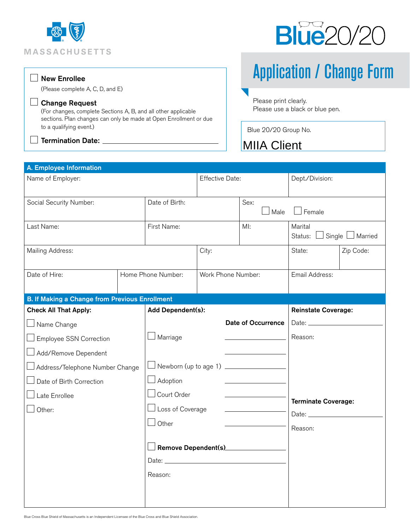



### New Enrollee

(Please complete A, C, D, and E)

#### Change Request

(For changes, complete Sections A, B, and all other applicable sections. Plan changes can only be made at Open Enrollment or due to a qualifying event.)

#### $\lrcorner$  Termination Date:  $\_$

Application / Change Form

Please print clearly. Please use a black or blue pen.

Blue 20/20 Group No.

# MIIA Client

| A. Employee Information                               |                    |                                          |       |                            |                                   |           |
|-------------------------------------------------------|--------------------|------------------------------------------|-------|----------------------------|-----------------------------------|-----------|
| Name of Employer:                                     |                    | Effective Date:                          |       | Dept./Division:            |                                   |           |
| Social Security Number:                               |                    | Date of Birth:                           |       | Sex:<br>Male               | $\Box$ Female                     |           |
| Last Name:                                            |                    | First Name:                              |       | MI:                        | Marital<br>Status: Single Married |           |
| Mailing Address:                                      |                    |                                          | City: |                            | State:                            | Zip Code: |
| Date of Hire:                                         |                    | Home Phone Number:<br>Work Phone Number: |       |                            | Email Address:                    |           |
| <b>B. If Making a Change from Previous Enrollment</b> |                    |                                          |       |                            |                                   |           |
| <b>Check All That Apply:</b>                          |                    | Add Dependent(s):                        |       | <b>Reinstate Coverage:</b> |                                   |           |
| $\Box$ Name Change                                    |                    | <b>Date of Occurrence</b>                |       |                            |                                   |           |
| $\Box$ Employee SSN Correction                        |                    | Marriage                                 |       |                            | Reason:                           |           |
| Add/Remove Dependent                                  |                    |                                          |       |                            |                                   |           |
| Address/Telephone Number Change                       |                    | Newborn (up to age 1) _____________      |       |                            |                                   |           |
| Date of Birth Correction                              | $\Box$ Adoption    |                                          |       |                            | <b>Terminate Coverage:</b>        |           |
| Late Enrollee                                         | $\Box$ Court Order |                                          |       |                            |                                   |           |
| $\Box$ Loss of Coverage<br>Other:                     |                    |                                          |       |                            |                                   |           |
|                                                       |                    | $\Box$ Other                             |       | Reason:                    |                                   |           |
|                                                       |                    |                                          |       |                            |                                   |           |
|                                                       |                    | $\perp$ Remove Dependent(s)____________  |       |                            |                                   |           |
|                                                       |                    |                                          |       |                            |                                   |           |
|                                                       |                    | Reason:                                  |       |                            |                                   |           |
|                                                       |                    |                                          |       |                            |                                   |           |
|                                                       |                    |                                          |       |                            |                                   |           |

Blue Cross Blue Shield of Massachusetts is an Independent Licensee of the Blue Cross and Blue Shield Association.